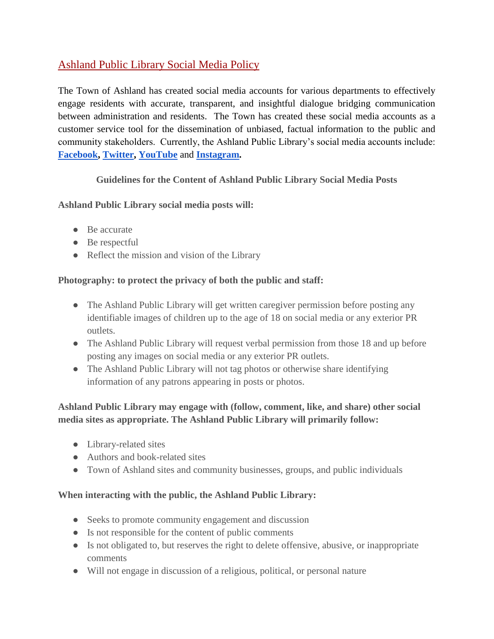# Ashland Public Library Social Media Policy

The Town of Ashland has created social media accounts for various departments to effectively engage residents with accurate, transparent, and insightful dialogue bridging communication between administration and residents. The Town has created these social media accounts as a customer service tool for the dissemination of unbiased, factual information to the public and community stakeholders. Currently, the Ashland Public Library's social media accounts include: **[Facebook,](https://www.facebook.com/AshlandPublicLibraryMA) [Twitter,](https://twitter.com/ashlandlibma) [YouTube](https://www.youtube.com/channel/UCyGS9qpfyExPlPUhc9EtDaw)** and **[Instagram.](https://www.instagram.com/ashlandpubliclibraryma/)**

**Guidelines for the Content of Ashland Public Library Social Media Posts** 

#### **Ashland Public Library social media posts will:**

- Be accurate
- $\bullet$  Be respectful
- Reflect the mission and vision of the Library

## **Photography: to protect the privacy of both the public and staff:**

- The Ashland Public Library will get written caregiver permission before posting any identifiable images of children up to the age of 18 on social media or any exterior PR outlets.
- The Ashland Public Library will request verbal permission from those 18 and up before posting any images on social media or any exterior PR outlets.
- The Ashland Public Library will not tag photos or otherwise share identifying information of any patrons appearing in posts or photos.

## **Ashland Public Library may engage with (follow, comment, like, and share) other social media sites as appropriate. The Ashland Public Library will primarily follow:**

- Library-related sites
- Authors and book-related sites
- Town of Ashland sites and community businesses, groups, and public individuals

## **When interacting with the public, the Ashland Public Library:**

- Seeks to promote community engagement and discussion
- Is not responsible for the content of public comments
- Is not obligated to, but reserves the right to delete offensive, abusive, or inappropriate comments
- Will not engage in discussion of a religious, political, or personal nature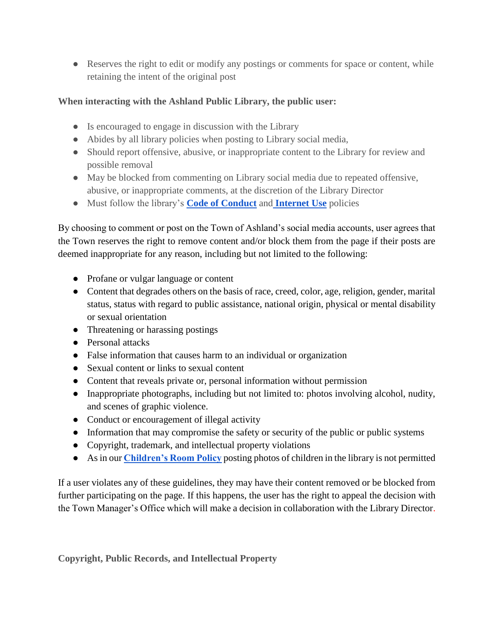● Reserves the right to edit or modify any postings or comments for space or content, while retaining the intent of the original post

#### **When interacting with the Ashland Public Library, the public user:**

- Is encouraged to engage in discussion with the Library
- Abides by all library policies when posting to Library social media,
- Should report offensive, abusive, or inappropriate content to the Library for review and possible removal
- May be blocked from commenting on Library social media due to repeated offensive, abusive, or inappropriate comments, at the discretion of the Library Director
- Must follow the library's **[Code of Conduct](https://docs.google.com/document/d/1UocEYrtpQmJ93S6C2V_Q4_ZW3zQee1J5luXXfH5mOdk/edit?usp=sharing)** and **[Internet Use](https://docs.google.com/document/d/128gKtYwhYa8ax4GWbZorobD491pWstNSFcMyG4FVVNg/edit?usp=sharing)** policies

By choosing to comment or post on the Town of Ashland's social media accounts, user agrees that the Town reserves the right to remove content and/or block them from the page if their posts are deemed inappropriate for any reason, including but not limited to the following:

- Profane or vulgar language or content
- Content that degrades others on the basis of race, creed, color, age, religion, gender, marital status, status with regard to public assistance, national origin, physical or mental disability or sexual orientation
- Threatening or harassing postings
- Personal attacks
- False information that causes harm to an individual or organization
- Sexual content or links to sexual content
- Content that reveals private or, personal information without permission
- Inappropriate photographs, including but not limited to: photos involving alcohol, nudity, and scenes of graphic violence.
- Conduct or encouragement of illegal activity
- Information that may compromise the safety or security of the public or public systems
- Copyright, trademark, and intellectual property violations
- As in our **[Children's Room Policy](https://docs.google.com/document/d/1gnnqEvjxkM1waQKAcqyUhKGqkjCiCsmEtiTyXG4kQU4/edit?usp=sharing)** posting photos of children in the library is not permitted

If a user violates any of these guidelines, they may have their content removed or be blocked from further participating on the page. If this happens, the user has the right to appeal the decision with the Town Manager's Office which will make a decision in collaboration with the Library Director.

**Copyright, Public Records, and Intellectual Property**